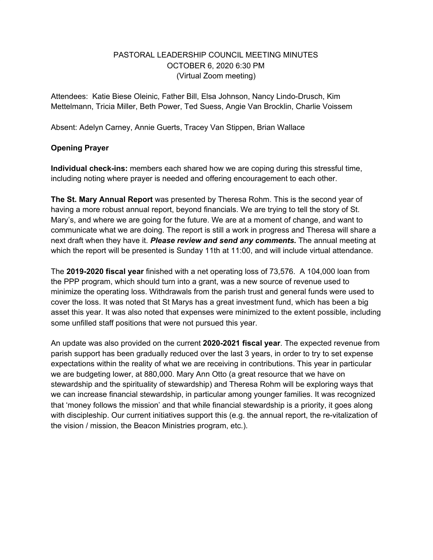## PASTORAL LEADERSHIP COUNCIL MEETING MINUTES OCTOBER 6, 2020 6:30 PM (Virtual Zoom meeting)

Attendees: Katie Biese Oleinic, Father Bill, Elsa Johnson, Nancy Lindo-Drusch, Kim Mettelmann, Tricia Miller, Beth Power, Ted Suess, Angie Van Brocklin, Charlie Voissem

Absent: Adelyn Carney, Annie Guerts, Tracey Van Stippen, Brian Wallace

## **Opening Prayer**

**Individual check-ins:** members each shared how we are coping during this stressful time, including noting where prayer is needed and offering encouragement to each other.

**The St. Mary Annual Report** was presented by Theresa Rohm. This is the second year of having a more robust annual report, beyond financials. We are trying to tell the story of St. Mary's, and where we are going for the future. We are at a moment of change, and want to communicate what we are doing. The report is still a work in progress and Theresa will share a next draft when they have it. *Please review and send any comments.* The annual meeting at which the report will be presented is Sunday 11th at 11:00, and will include virtual attendance.

The **2019-2020 fiscal year** finished with a net operating loss of 73,576. A 104,000 loan from the PPP program, which should turn into a grant, was a new source of revenue used to minimize the operating loss. Withdrawals from the parish trust and general funds were used to cover the loss. It was noted that St Marys has a great investment fund, which has been a big asset this year. It was also noted that expenses were minimized to the extent possible, including some unfilled staff positions that were not pursued this year.

An update was also provided on the current **2020-2021 fiscal year**. The expected revenue from parish support has been gradually reduced over the last 3 years, in order to try to set expense expectations within the reality of what we are receiving in contributions. This year in particular we are budgeting lower, at 880,000. Mary Ann Otto (a great resource that we have on stewardship and the spirituality of stewardship) and Theresa Rohm will be exploring ways that we can increase financial stewardship, in particular among younger families. It was recognized that 'money follows the mission' and that while financial stewardship is a priority, it goes along with discipleship. Our current initiatives support this (e.g. the annual report, the re-vitalization of the vision / mission, the Beacon Ministries program, etc.).